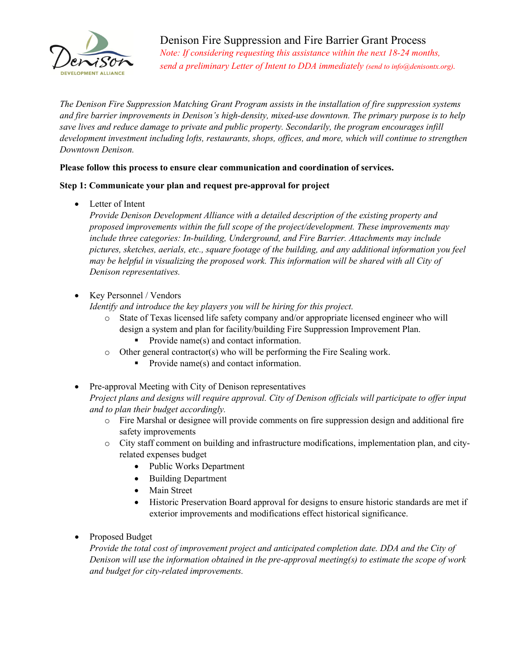

Denison Fire Suppression and Fire Barrier Grant Process *Note: If considering requesting this assistance within the next 18-24 months, send a preliminary Letter of Intent to DDA immediately (send to info@denisontx.org).*

*The Denison Fire Suppression Matching Grant Program assists in the installation of fire suppression systems and fire barrier improvements in Denison's high-density, mixed-use downtown. The primary purpose is to help save lives and reduce damage to private and public property. Secondarily, the program encourages infill development investment including lofts, restaurants, shops, offices, and more, which will continue to strengthen Downtown Denison.* 

#### **Please follow this process to ensure clear communication and coordination of services.**

#### **Step 1: Communicate your plan and request pre-approval for project**

• Letter of Intent

*Provide Denison Development Alliance with a detailed description of the existing property and proposed improvements within the full scope of the project/development. These improvements may include three categories: In-building, Underground, and Fire Barrier. Attachments may include pictures, sketches, aerials, etc., square footage of the building, and any additional information you feel may be helpful in visualizing the proposed work. This information will be shared with all City of Denison representatives.*

• Key Personnel / Vendors

*Identify and introduce the key players you will be hiring for this project.*

- o State of Texas licensed life safety company and/or appropriate licensed engineer who will design a system and plan for facility/building Fire Suppression Improvement Plan. Provide name(s) and contact information.
- o Other general contractor(s) who will be performing the Fire Sealing work.
	- Provide name(s) and contact information.
- Pre-approval Meeting with City of Denison representatives *Project plans and designs will require approval. City of Denison officials will participate to offer input and to plan their budget accordingly.*
	- o Fire Marshal or designee will provide comments on fire suppression design and additional fire safety improvements
	- o City staff comment on building and infrastructure modifications, implementation plan, and cityrelated expenses budget
		- Public Works Department
		- Building Department
		- Main Street
		- Historic Preservation Board approval for designs to ensure historic standards are met if exterior improvements and modifications effect historical significance.
- Proposed Budget

*Provide the total cost of improvement project and anticipated completion date. DDA and the City of Denison will use the information obtained in the pre-approval meeting(s) to estimate the scope of work and budget for city-related improvements.*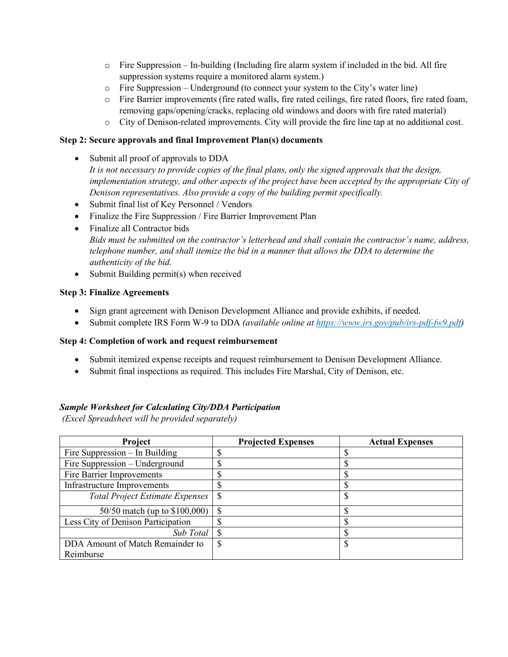- $\circ$  Fire Suppression In-building (Including fire alarm system if included in the bid. All fire suppression systems require a monitored alarm system.)
- $\circ$  Fire Suppression Underground (to connect your system to the City's water line)
- o Fire Barrier improvements (fire rated walls, fire rated ceilings, fire rated floors, fire rated foam, removing gaps/opening/cracks, replacing old windows and doors with fire rated material)
- o City of Denison-related improvements. City will provide the fire line tap at no additional cost.

### **Step 2: Secure approvals and final Improvement Plan(s) documents**

- Submit all proof of approvals to DDA *It is not necessary to provide copies of the final plans, only the signed approvals that the design, implementation strategy, and other aspects of the project have been accepted by the appropriate City of Denison representatives. Also provide a copy of the building permit specifically.*
- Submit final list of Key Personnel / Vendors
- Finalize the Fire Suppression / Fire Barrier Improvement Plan
- Finalize all Contractor bids *Bids must be submitted on the contractor's letterhead and shall contain the contractor's name, address, telephone number, and shall itemize the bid in a manner that allows the DDA to determine the authenticity of the bid.*
- Submit Building permit(s) when received

### **Step 3: Finalize Agreements**

- Sign grant agreement with Denison Development Alliance and provide exhibits, if needed.
- Submit complete IRS Form W-9 to DDA *(available online at [https://www.irs.gov/pub/irs-pdf-fw9.pdf\)](https://www.irs.gov/pub/irs-pdf-fw9.pdf)*

### **Step 4: Completion of work and request reimbursement**

- Submit itemized expense receipts and request reimbursement to Denison Development Alliance.
- Submit final inspections as required. This includes Fire Marshal, City of Denison, etc.

### *Sample Worksheet for Calculating City/DDA Participation*

*(Excel Spreadsheet will be provided separately)*

| Project                                | <b>Projected Expenses</b> | <b>Actual Expenses</b> |
|----------------------------------------|---------------------------|------------------------|
| Fire Suppression $-$ In Building       |                           |                        |
| Fire Suppression – Underground         |                           |                        |
| Fire Barrier Improvements              |                           |                        |
| Infrastructure Improvements            |                           |                        |
| <b>Total Project Estimate Expenses</b> | <b>S</b>                  |                        |
| 50/50 match (up to \$100,000)          |                           |                        |
| Less City of Denison Participation     |                           |                        |
| Sub Total                              |                           |                        |
| DDA Amount of Match Remainder to       |                           |                        |
| Reimburse                              |                           |                        |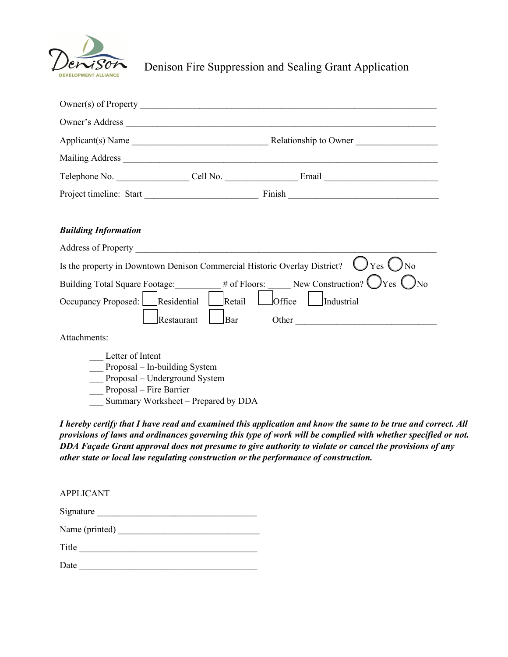

Denison Fire Suppression and Sealing Grant Application

| <b>Building Information</b>                                                                                   |                                     |                      |  |
|---------------------------------------------------------------------------------------------------------------|-------------------------------------|----------------------|--|
|                                                                                                               |                                     |                      |  |
| Is the property in Downtown Denison Commercial Historic Overlay District?<br>Yes (<br>N <sub>0</sub>          |                                     |                      |  |
| # of Floors: New Construction? $\bigcup$ Yes<br>Building Total Square Footage:                                |                                     |                      |  |
| Occupancy Proposed:                                                                                           | Residential<br>Retail               | Office<br>Industrial |  |
|                                                                                                               | Restaurant<br>Bar                   | Other                |  |
| Attachments:                                                                                                  |                                     |                      |  |
| Letter of Intent<br>Proposal – In-building System<br>Proposal - Underground System<br>Proposal – Fire Barrier | Summary Worksheet - Prepared by DDA |                      |  |

*I hereby certify that I have read and examined this application and know the same to be true and correct. All provisions of laws and ordinances governing this type of work will be complied with whether specified or not. DDA Façade Grant approval does not presume to give authority to violate or cancel the provisions of any other state or local law regulating construction or the performance of construction.* 

| <b>APPLICANT</b> |  |  |
|------------------|--|--|
| Signature        |  |  |
| Name (printed)   |  |  |
| Title            |  |  |
| Date             |  |  |